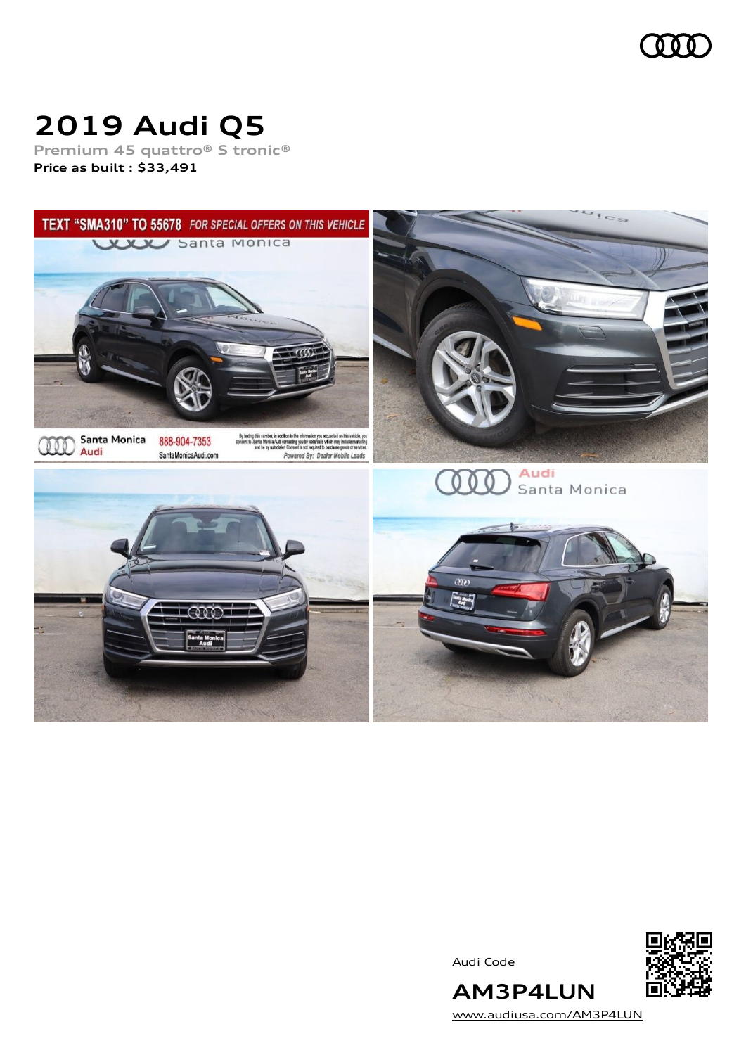

# **2019 Audi Q5**

**Premium 45 quattro® S tronic® Price as built [:](#page-10-0) \$33,491**



Audi Code



[www.audiusa.com/AM3P4LUN](https://www.audiusa.com/AM3P4LUN)

**AM3P4LUN**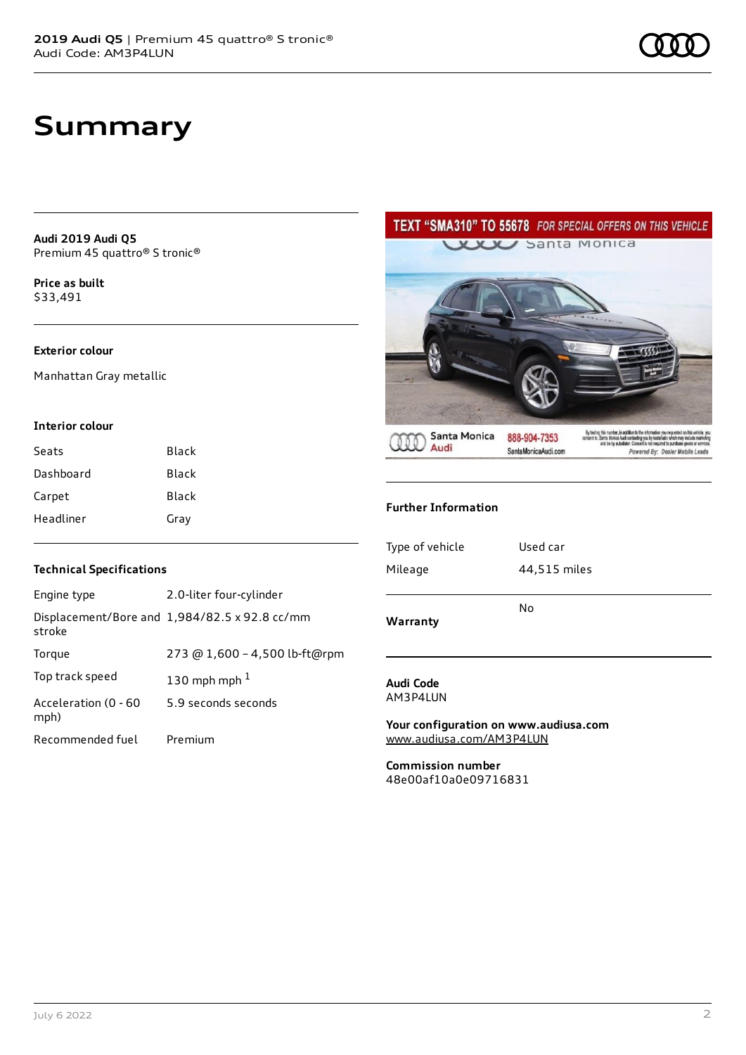## **Summary**

**Audi 2019 Audi Q5** Premium 45 quattro® S tronic®

**Price as buil[t](#page-10-0)** \$33,491

#### **Exterior colour**

Manhattan Gray metallic

#### **Interior colour**

| Seats     | Black |
|-----------|-------|
| Dashboard | Black |
| Carpet    | Black |
| Headliner | Gray  |

#### **Technical Specifications**

| Engine type                  | 2.0-liter four-cylinder                       |
|------------------------------|-----------------------------------------------|
| stroke                       | Displacement/Bore and 1,984/82.5 x 92.8 cc/mm |
| Torque                       | 273 @ 1,600 - 4,500 lb-ft@rpm                 |
| Top track speed              | 130 mph mph $1$                               |
| Acceleration (0 - 60<br>mph) | 5.9 seconds seconds                           |
| Recommended fuel             | Premium                                       |

### TEXT "SMA310" TO 55678 FOR SPECIAL OFFERS ON THIS VEHICLE



#### **Further Information**

| Type of vehicle<br>Mileage | Used car<br>44,515 miles |
|----------------------------|--------------------------|
|                            |                          |
| Warranty                   | No                       |

#### **Audi Code** AM3P4LUN

**Your configuration on www.audiusa.com** [www.audiusa.com/AM3P4LUN](https://www.audiusa.com/AM3P4LUN)

**Commission number** 48e00af10a0e09716831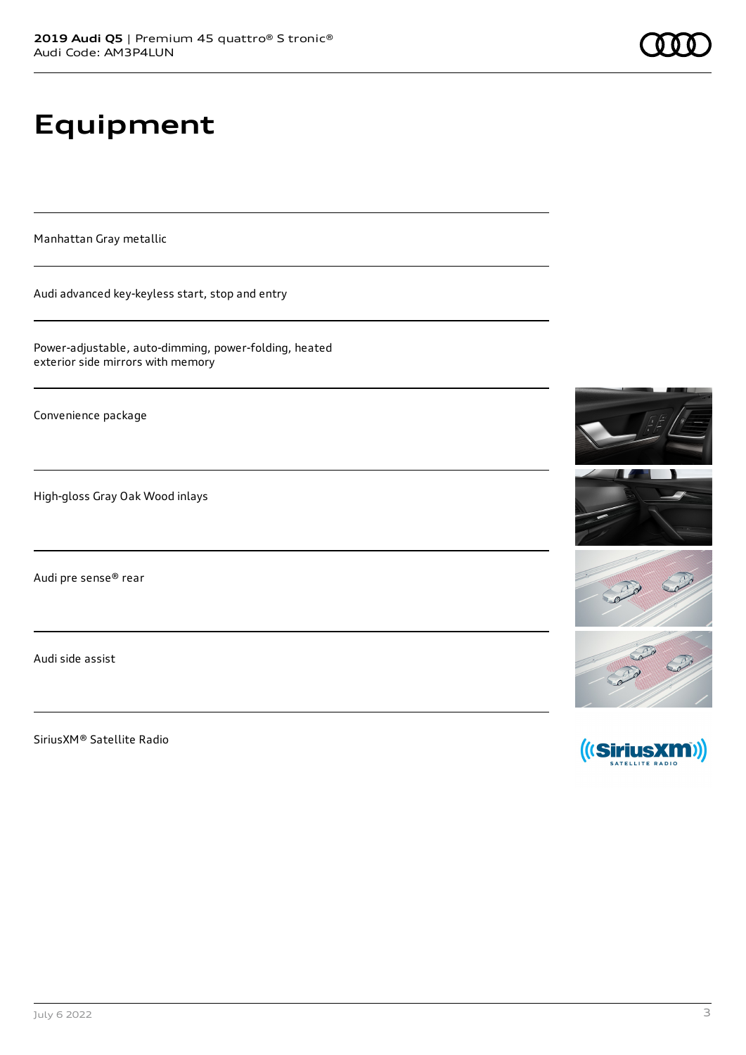# **Equipment**

Manhattan Gray metallic

Audi advanced key-keyless start, stop and entry

Power-adjustable, auto-dimming, power-folding, heated exterior side mirrors with memory

Convenience package

High-gloss Gray Oak Wood inlays

Audi pre sense® rear

Audi side assist

SiriusXM® Satellite Radio





SATELLITE RADIO

Robert Robert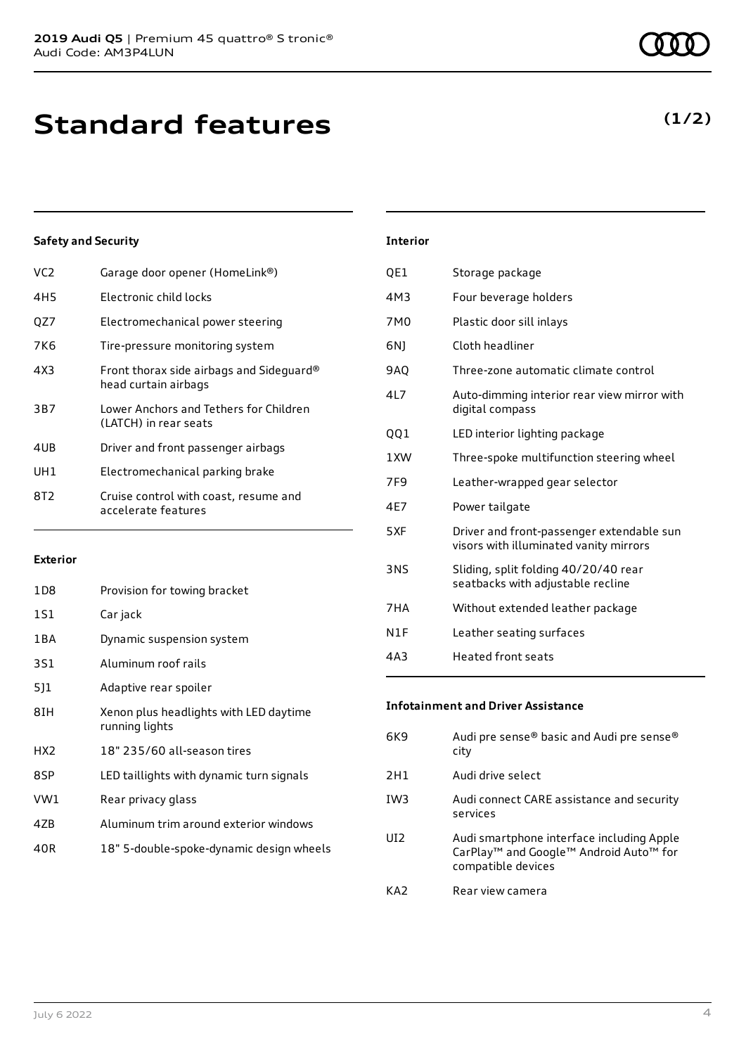| VC2 | Garage door opener (HomeLink®)                                   |
|-----|------------------------------------------------------------------|
| 4H5 | Flectronic child locks                                           |
| QZ7 | Electromechanical power steering                                 |
| 7K6 | Tire-pressure monitoring system                                  |
| 4X3 | Front thorax side airbags and Sideguard®<br>head curtain airbags |
| 3B7 | Lower Anchors and Tethers for Children<br>(LATCH) in rear seats  |
| 4UB | Driver and front passenger airbags                               |
| UH1 | Electromechanical parking brake                                  |
| 8T2 | Cruise control with coast, resume and<br>accelerate features     |

#### **Exterior**

| 1D8             | Provision for towing bracket                             |
|-----------------|----------------------------------------------------------|
| 1S1             | Car jack                                                 |
| 1 B A           | Dynamic suspension system                                |
| 3S1             | Aluminum roof rails                                      |
| 511             | Adaptive rear spoiler                                    |
| 8IH             | Xenon plus headlights with LED daytime<br>running lights |
| HX <sub>2</sub> | 18" 235/60 all-season tires                              |
| 8SP             | LED taillights with dynamic turn signals                 |
| VW1             | Rear privacy glass                                       |
| 4ZB             | Aluminum trim around exterior windows                    |
| 40R             | 18" 5-double-spoke-dynamic design wheels                 |

| <b>Interior</b> |                                                                                     |
|-----------------|-------------------------------------------------------------------------------------|
| QE1             | Storage package                                                                     |
| 4M3             | Four beverage holders                                                               |
| 7M0             | Plastic door sill inlays                                                            |
| 6N)             | Cloth headliner                                                                     |
| 9AQ             | Three-zone automatic climate control                                                |
| 417             | Auto-dimming interior rear view mirror with<br>digital compass                      |
| QQ1             | LED interior lighting package                                                       |
| 1 XW            | Three-spoke multifunction steering wheel                                            |
| 7F <sub>9</sub> | Leather-wrapped gear selector                                                       |
| 4E7             | Power tailgate                                                                      |
| 5XF             | Driver and front-passenger extendable sun<br>visors with illuminated vanity mirrors |
| 3NS             | Sliding, split folding 40/20/40 rear<br>seatbacks with adjustable recline           |
| 7HA             | Without extended leather package                                                    |
| N1F             | Leather seating surfaces                                                            |

4A3 Heated front seats

#### **Infotainment and Driver Assistance**

| 6K9             | Audi pre sense® basic and Audi pre sense®<br>city                                                                                             |
|-----------------|-----------------------------------------------------------------------------------------------------------------------------------------------|
| 2H1             | Audi drive select                                                                                                                             |
| IW3             | Audi connect CARE assistance and security<br>services                                                                                         |
| UI <sub>2</sub> | Audi smartphone interface including Apple<br>CarPlay <sup>™</sup> and Google <sup>™</sup> Android Auto <sup>™</sup> for<br>compatible devices |
| KA <sub>2</sub> | Rear view camera                                                                                                                              |

**(1/2)**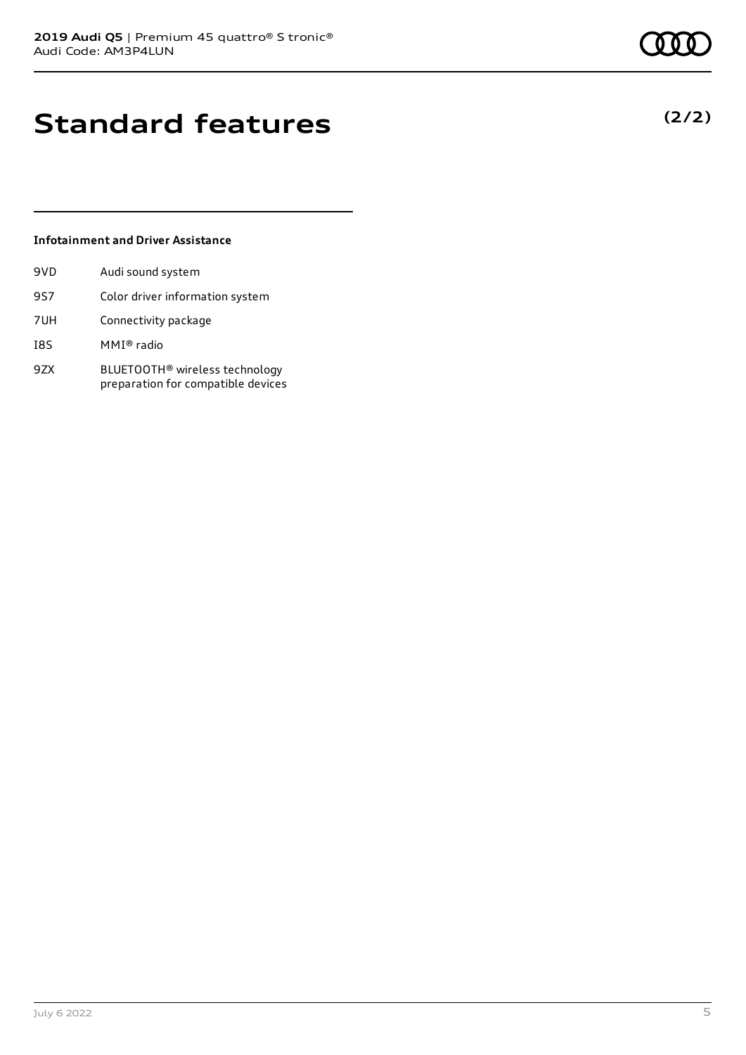## **Standard features**

#### **Infotainment and Driver Assistance**

| 9VD | Audi sound system                                                                |
|-----|----------------------------------------------------------------------------------|
| 9S7 | Color driver information system                                                  |
| 7UH | Connectivity package                                                             |
| I8S | MMI® radio                                                                       |
| 9ZX | BLUETOOTH <sup>®</sup> wireless technology<br>preparation for compatible devices |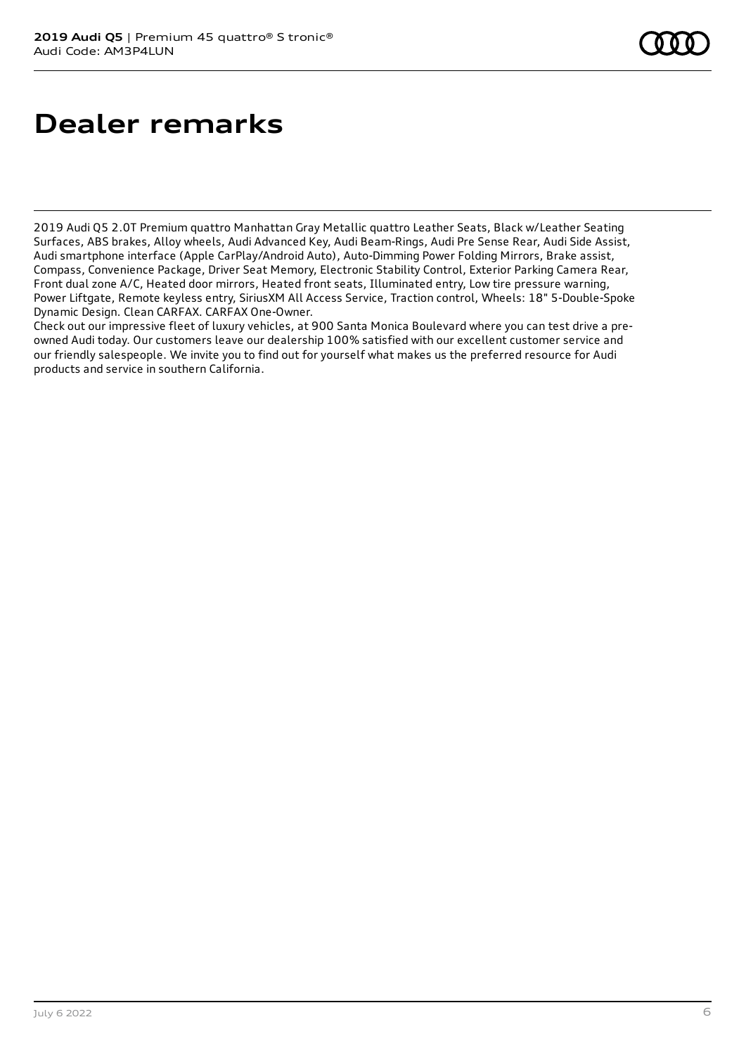## **Dealer remarks**

2019 Audi Q5 2.0T Premium quattro Manhattan Gray Metallic quattro Leather Seats, Black w/Leather Seating Surfaces, ABS brakes, Alloy wheels, Audi Advanced Key, Audi Beam-Rings, Audi Pre Sense Rear, Audi Side Assist, Audi smartphone interface (Apple CarPlay/Android Auto), Auto-Dimming Power Folding Mirrors, Brake assist, Compass, Convenience Package, Driver Seat Memory, Electronic Stability Control, Exterior Parking Camera Rear, Front dual zone A/C, Heated door mirrors, Heated front seats, Illuminated entry, Low tire pressure warning, Power Liftgate, Remote keyless entry, SiriusXM All Access Service, Traction control, Wheels: 18" 5-Double-Spoke Dynamic Design. Clean CARFAX. CARFAX One-Owner.

Check out our impressive fleet of luxury vehicles, at 900 Santa Monica Boulevard where you can test drive a preowned Audi today. Our customers leave our dealership 100% satisfied with our excellent customer service and our friendly salespeople. We invite you to find out for yourself what makes us the preferred resource for Audi products and service in southern California.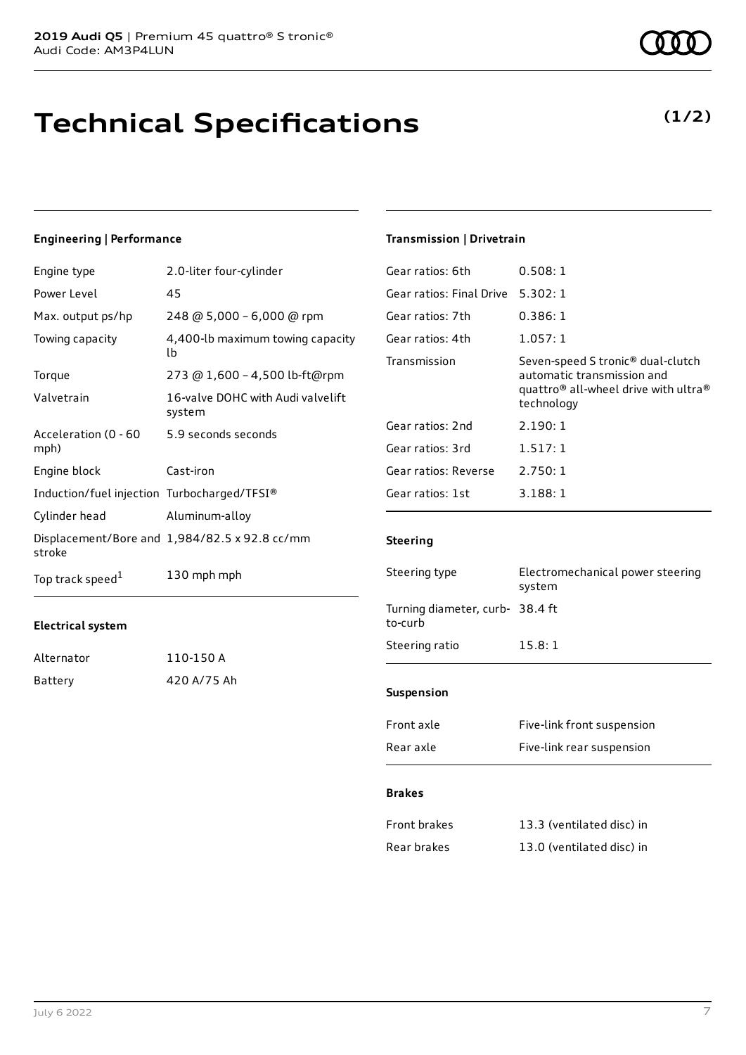### **Technical Specifications**

#### **Engineering | Performance**

| Engine type                                 | 2.0-liter four-cylinder                       |
|---------------------------------------------|-----------------------------------------------|
| Power Level                                 | 45                                            |
| Max. output ps/hp                           | 248 @ 5,000 - 6,000 @ rpm                     |
| Towing capacity                             | 4,400-lb maximum towing capacity<br>lb        |
| Torque                                      | 273 @ 1,600 - 4,500 lb-ft@rpm                 |
| Valvetrain                                  | 16-valve DOHC with Audi valvelift<br>system   |
| Acceleration (0 - 60<br>mph)                | 5.9 seconds seconds                           |
| Engine block                                | Cast-iron                                     |
| Induction/fuel injection Turbocharged/TFSI® |                                               |
| Cylinder head                               | Aluminum-alloy                                |
| stroke                                      | Displacement/Bore and 1,984/82.5 x 92.8 cc/mm |
| Top track speed <sup>1</sup>                | 130 mph mph                                   |

#### **Electrical system**

| Alternator | 110-150 A   |
|------------|-------------|
| Battery    | 420 A/75 Ah |

#### **Transmission | Drivetrain**

| Gear ratios: 6th         | 0.508:1                                                                                                                                                   |
|--------------------------|-----------------------------------------------------------------------------------------------------------------------------------------------------------|
| Gear ratios: Final Drive | 5.302:1                                                                                                                                                   |
| Gear ratios: 7th         | 0.386:1                                                                                                                                                   |
| Gear ratios: 4th         | 1.057:1                                                                                                                                                   |
| Transmission             | Seven-speed S tronic <sup>®</sup> dual-clutch<br>automatic transmission and<br>quattro <sup>®</sup> all-wheel drive with ultra <sup>®</sup><br>technology |
| Gear ratios: 2nd         | 2.190:1                                                                                                                                                   |
| Gear ratios: 3rd         | 1.517:1                                                                                                                                                   |
| Gear ratios: Reverse     | 2.750:1                                                                                                                                                   |
| Gear ratios: 1st         | 3.188:1                                                                                                                                                   |
|                          |                                                                                                                                                           |

#### **Steering**

| Steering type                              | Electromechanical power steering<br>system |  |
|--------------------------------------------|--------------------------------------------|--|
| Turning diameter, curb- 38.4 ft<br>to-curb |                                            |  |
| Steering ratio                             | 15.8:1                                     |  |
|                                            |                                            |  |
| <b>Suspension</b>                          |                                            |  |
| Front axle                                 | Five-link front suspension                 |  |
| Rear axle                                  | Five-link rear suspension                  |  |

#### **Brakes**

| Front brakes | 13.3 (ventilated disc) in |
|--------------|---------------------------|
| Rear brakes  | 13.0 (ventilated disc) in |



**(1/2)**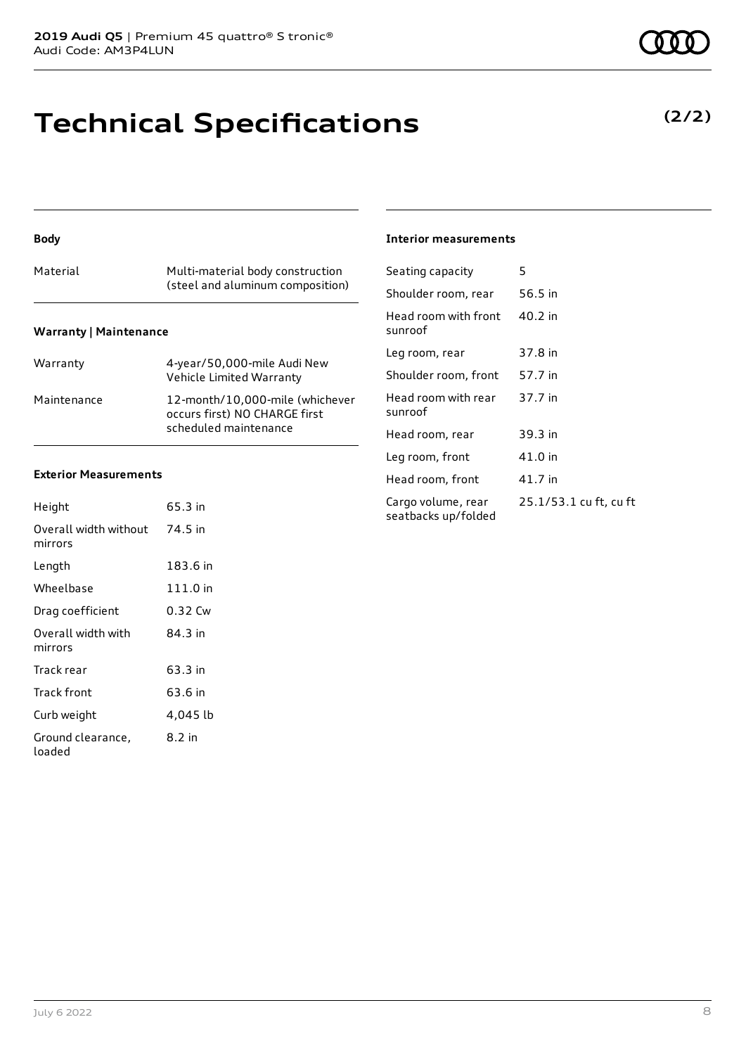### **Technical Specifications**

#### **Body**

| Material                      | Multi-material body construction<br>(steel and aluminum composition) |
|-------------------------------|----------------------------------------------------------------------|
| <b>Warranty   Maintenance</b> |                                                                      |

| Warranty    | 4-year/50,000-mile Audi New<br>Vehicle Limited Warranty                                   |
|-------------|-------------------------------------------------------------------------------------------|
| Maintenance | 12-month/10.000-mile (whichever<br>occurs first) NO CHARGE first<br>scheduled maintenance |

#### **Exterior Measurements**

| Height                           | 65.3 in  |
|----------------------------------|----------|
| Overall width without<br>mirrors | 74.5 in  |
| Length                           | 183.6 in |
| Wheelbase                        | 111.0 in |
| Drag coefficient                 | 0.32 Cw  |
| Overall width with<br>mirrors    | 84.3 in  |
| Track rear                       | 63.3 in  |
| Track front                      | 63.6 in  |
| Curb weight                      | 4,045 lb |
| Ground clearance,<br>loaded      | 8.2 in   |

#### **Interior measurements**

| Seating capacity                          | 5                      |
|-------------------------------------------|------------------------|
| Shoulder room, rear                       | 56.5 in                |
| Head room with front<br>sunroof           | 40.2 in                |
| Leg room, rear                            | 37.8 in                |
| Shoulder room, front                      | 57.7 in                |
| Head room with rear<br>sunroof            | 37.7 in                |
| Head room, rear                           | 39.3 in                |
| Leg room, front                           | 41.0 in                |
| Head room, front                          | 41.7 in                |
| Cargo volume, rear<br>seatbacks up/folded | 25.1/53.1 cu ft, cu ft |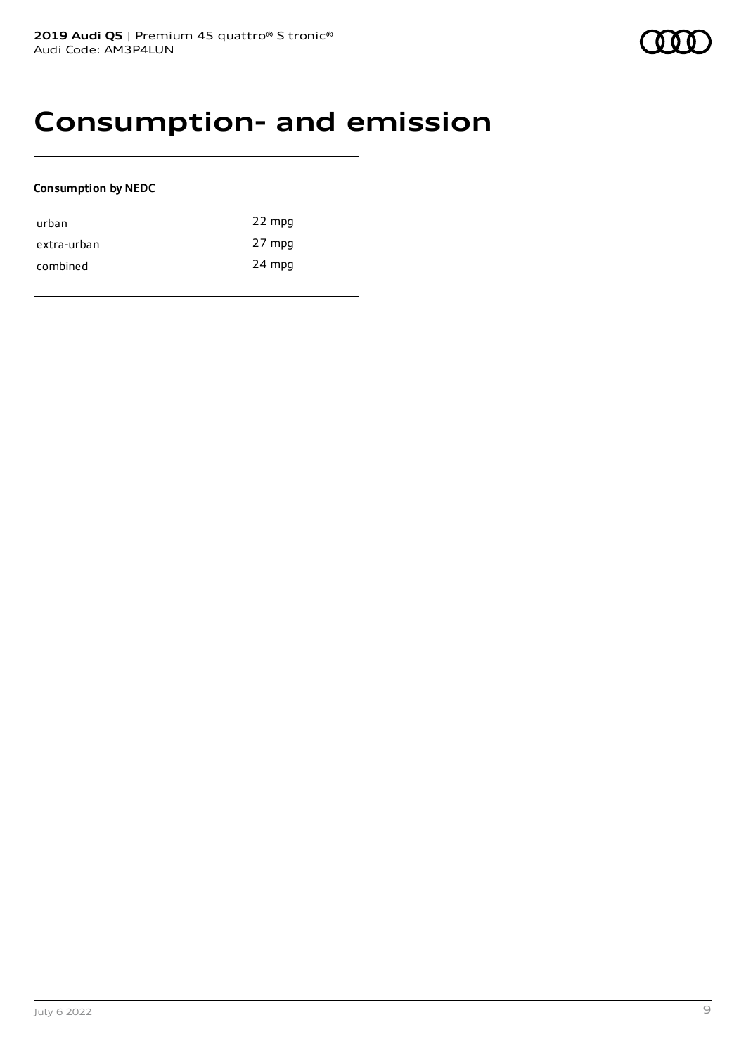### **Consumption- and emission**

#### **Consumption by NEDC**

| urban       | 22 mpg |
|-------------|--------|
| extra-urban | 27 mpg |
| combined    | 24 mpg |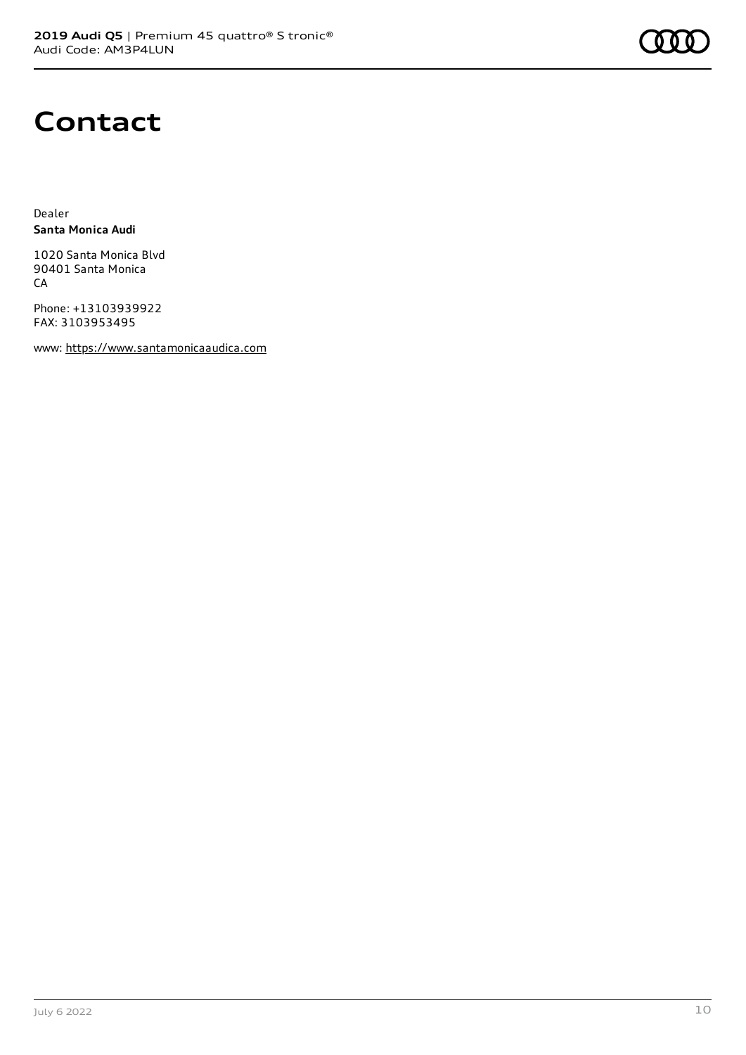

### **Contact**

Dealer **Santa Monica Audi**

1020 Santa Monica Blvd 90401 Santa Monica **CA** 

Phone: +13103939922 FAX: 3103953495

www: [https://www.santamonicaaudica.com](https://www.santamonicaaudica.com/)